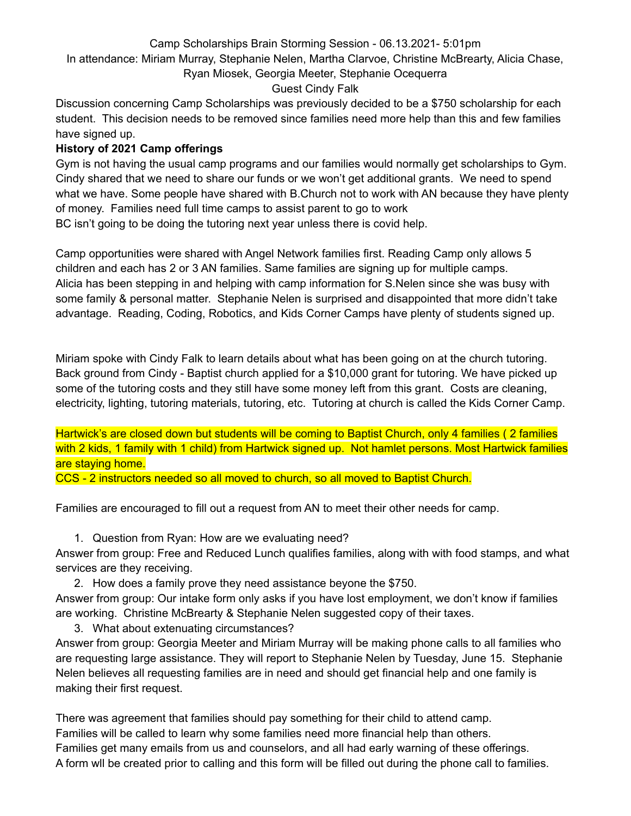## Camp Scholarships Brain Storming Session - 06.13.2021- 5:01pm

In attendance: Miriam Murray, Stephanie Nelen, Martha Clarvoe, Christine McBrearty, Alicia Chase,

## Ryan Miosek, Georgia Meeter, Stephanie Ocequerra

## Guest Cindy Falk

Discussion concerning Camp Scholarships was previously decided to be a \$750 scholarship for each student. This decision needs to be removed since families need more help than this and few families have signed up.

## **History of 2021 Camp offerings**

Gym is not having the usual camp programs and our families would normally get scholarships to Gym. Cindy shared that we need to share our funds or we won't get additional grants. We need to spend what we have. Some people have shared with B.Church not to work with AN because they have plenty of money. Families need full time camps to assist parent to go to work BC isn't going to be doing the tutoring next year unless there is covid help.

Camp opportunities were shared with Angel Network families first. Reading Camp only allows 5 children and each has 2 or 3 AN families. Same families are signing up for multiple camps. Alicia has been stepping in and helping with camp information for S.Nelen since she was busy with some family & personal matter. Stephanie Nelen is surprised and disappointed that more didn't take advantage. Reading, Coding, Robotics, and Kids Corner Camps have plenty of students signed up.

Miriam spoke with Cindy Falk to learn details about what has been going on at the church tutoring. Back ground from Cindy - Baptist church applied for a \$10,000 grant for tutoring. We have picked up some of the tutoring costs and they still have some money left from this grant. Costs are cleaning, electricity, lighting, tutoring materials, tutoring, etc. Tutoring at church is called the Kids Corner Camp.

Hartwick's are closed down but students will be coming to Baptist Church, only 4 families (2 families with 2 kids, 1 family with 1 child) from Hartwick signed up. Not hamlet persons. Most Hartwick families are staying home.

CCS - 2 instructors needed so all moved to church, so all moved to Baptist Church.

Families are encouraged to fill out a request from AN to meet their other needs for camp.

1. Question from Ryan: How are we evaluating need?

Answer from group: Free and Reduced Lunch qualifies families, along with with food stamps, and what services are they receiving.

2. How does a family prove they need assistance beyone the \$750.

Answer from group: Our intake form only asks if you have lost employment, we don't know if families are working. Christine McBrearty & Stephanie Nelen suggested copy of their taxes.

3. What about extenuating circumstances?

Answer from group: Georgia Meeter and Miriam Murray will be making phone calls to all families who are requesting large assistance. They will report to Stephanie Nelen by Tuesday, June 15. Stephanie Nelen believes all requesting families are in need and should get financial help and one family is making their first request.

There was agreement that families should pay something for their child to attend camp. Families will be called to learn why some families need more financial help than others. Families get many emails from us and counselors, and all had early warning of these offerings. A form wll be created prior to calling and this form will be filled out during the phone call to families.